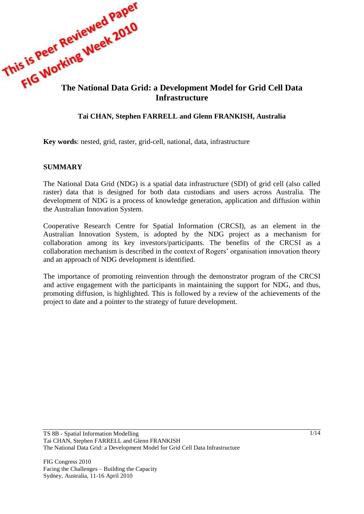

### **Tai CHAN, Stephen FARRELL and Glenn FRANKISH, Australia**

**Key words**: nested, grid, raster, grid-cell, national, data, infrastructure

#### **SUMMARY**

The National Data Grid (NDG) is a spatial data infrastructure (SDI) of grid cell (also called raster) data that is designed for both data custodians and users across Australia. The development of NDG is a process of knowledge generation, application and diffusion within the Australian Innovation System.

Cooperative Research Centre for Spatial Information (CRCSI), as an element in the Australian Innovation System, is adopted by the NDG project as a mechanism for collaboration among its key investors/participants. The benefits of the CRCSI as a collaboration mechanism is described in the context of Rogers' organisation innovation theory and an approach of NDG development is identified.

The importance of promoting reinvention through the demonstrator program of the CRCSI and active engagement with the participants in maintaining the support for NDG, and thus, promoting diffusion, is highlighted. This is followed by a review of the achievements of the project to date and a pointer to the strategy of future development.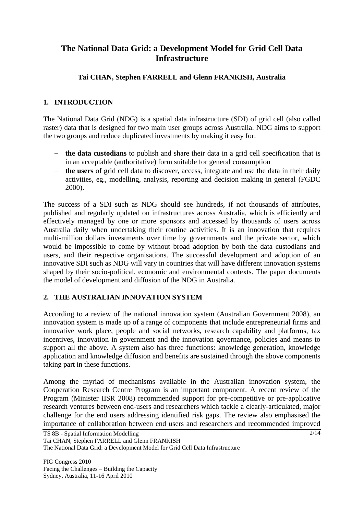# **The National Data Grid: a Development Model for Grid Cell Data Infrastructure**

### **Tai CHAN, Stephen FARRELL and Glenn FRANKISH, Australia**

### **1. INTRODUCTION**

The National Data Grid (NDG) is a spatial data infrastructure (SDI) of grid cell (also called raster) data that is designed for two main user groups across Australia. NDG aims to support the two groups and reduce duplicated investments by making it easy for:

- **the data custodians** to publish and share their data in a grid cell specification that is in an acceptable (authoritative) form suitable for general consumption
- **the users** of grid cell data to discover, access, integrate and use the data in their daily activities, eg., modelling, analysis, reporting and decision making in general (FGDC 2000).

The success of a SDI such as NDG should see hundreds, if not thousands of attributes, published and regularly updated on infrastructures across Australia, which is efficiently and effectively managed by one or more sponsors and accessed by thousands of users across Australia daily when undertaking their routine activities. It is an innovation that requires multi-million dollars investments over time by governments and the private sector, which would be impossible to come by without broad adoption by both the data custodians and users, and their respective organisations. The successful development and adoption of an innovative SDI such as NDG will vary in countries that will have different innovation systems shaped by their socio-political, economic and environmental contexts. The paper documents the model of development and diffusion of the NDG in Australia.

### **2. THE AUSTRALIAN INNOVATION SYSTEM**

According to a review of the national innovation system (Australian Government 2008), an innovation system is made up of a range of components that include entrepreneurial firms and innovative work place, people and social networks, research capability and platforms, tax incentives, innovation in government and the innovation governance, policies and means to support all the above. A system also has three functions: knowledge generation, knowledge application and knowledge diffusion and benefits are sustained through the above components taking part in these functions.

Among the myriad of mechanisms available in the Australian innovation system, the Cooperation Research Centre Program is an important component. A recent review of the Program (Minister IISR 2008) recommended support for pre-competitive or pre-applicative research ventures between end-users and researchers which tackle a clearly-articulated, major challenge for the end users addressing identified risk gaps. The review also emphasised the importance of collaboration between end users and researchers and recommended improved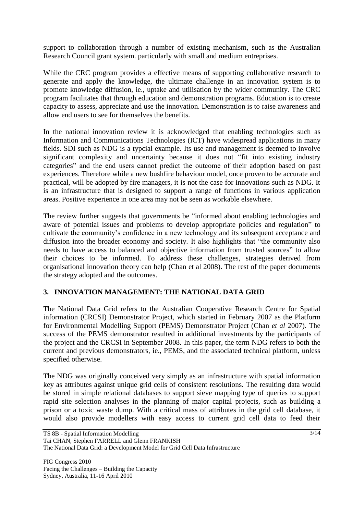support to collaboration through a number of existing mechanism, such as the Australian Research Council grant system. particularly with small and medium entreprises.

While the CRC program provides a effective means of supporting collaborative research to generate and apply the knowledge, the ultimate challenge in an innovation system is to promote knowledge diffusion, ie., uptake and utilisation by the wider community. The CRC program facilitates that through education and demonstration programs. Education is to create capacity to assess, appreciate and use the innovation. Demonstration is to raise awareness and allow end users to see for themselves the benefits.

In the national innovation review it is acknowledged that enabling technologies such as Information and Communications Technologies (ICT) have widespread applications in many fields. SDI such as NDG is a typcial example. Its use and management is deemed to involve significant complexity and uncertainty because it does not "fit into existing industry categories" and the end users cannot predict the outcome of their adoption based on past experiences. Therefore while a new bushfire behaviour model, once proven to be accurate and practical, will be adopted by fire managers, it is not the case for innovations such as NDG. It is an infrastructure that is designed to support a range of functions in various application areas. Positive experience in one area may not be seen as workable elsewhere.

The review further suggests that governments be "informed about enabling technologies and aware of potential issues and problems to develop appropriate policies and regulation" to cultivate the community"s confidence in a new technology and its subsequent acceptance and diffusion into the broader economy and society. It also highlights that "the community also needs to have access to balanced and objective information from trusted sources" to allow their choices to be informed. To address these challenges, strategies derived from organisational innovation theory can help (Chan et al 2008). The rest of the paper documents the strategy adopted and the outcomes.

### **3. INNOVATION MANAGEMENT: THE NATIONAL DATA GRID**

The National Data Grid refers to the Australian Cooperative Research Centre for Spatial information (CRCSI) Demonstrator Project, which started in February 2007 as the Platform for Environmental Modelling Support (PEMS) Demonstrator Project (Chan *et al* 2007). The success of the PEMS demonstrator resulted in additional investments by the participants of the project and the CRCSI in September 2008. In this paper, the term NDG refers to both the current and previous demonstrators, ie., PEMS, and the associated technical platform, unless specified otherwise.

The NDG was originally conceived very simply as an infrastructure with spatial information key as attributes against unique grid cells of consistent resolutions. The resulting data would be stored in simple relational databases to support sieve mapping type of queries to support rapid site selection analyses in the planning of major capital projects, such as building a prison or a toxic waste dump. With a critical mass of attributes in the grid cell database, it would also provide modellers with easy access to current grid cell data to feed their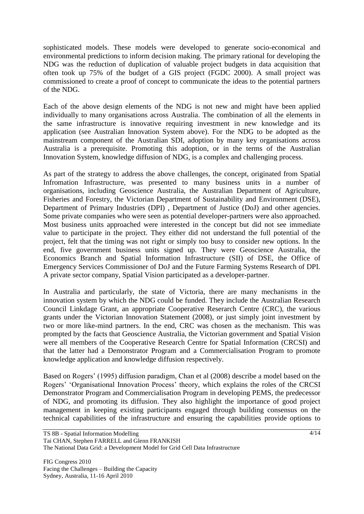sophisticated models. These models were developed to generate socio-economical and environmental predictions to inform decision making. The primary rational for developing the NDG was the reduction of duplication of valuable project budgets in data acquisition that often took up 75% of the budget of a GIS project (FGDC 2000). A small project was commissioned to create a proof of concept to communicate the ideas to the potential partners of the NDG.

Each of the above design elements of the NDG is not new and might have been applied individually to many organisations across Australia. The combination of all the elements in the same infrastructure is innovative requiring investment in new knowledge and its application (see Australian Innovation System above). For the NDG to be adopted as the mainstream component of the Australian SDI, adoption by many key organisations across Australia is a prerequisite. Promoting this adoption, or in the terms of the Australian Innovation System, knowledge diffusion of NDG, is a complex and challenging process.

As part of the strategy to address the above challenges, the concept, originated from Spatial Infromation Infrastructure, was presented to many business units in a number of organisations, including Geoscience Australia, the Australian Department of Agriculture, Fisheries and Forestry, the Victorian Department of Sustainability and Environment (DSE), Department of Primary Industries (DPI) , Department of Justice (DoJ) and other agencies. Some private companies who were seen as potential developer-partners were also approached. Most business units approached were interested in the concept but did not see immediate value to participate in the project. They either did not understand the full potential of the project, felt that the timing was not right or simply too busy to consider new options. In the end, five government business units signed up. They were Geoscience Australia, the Economics Branch and Spatial Information Infrastructure (SII) of DSE, the Office of Emergency Services Commissioner of DoJ and the Future Farming Systems Research of DPI. A private sector company, Spatial Vision participated as a developer-partner.

In Australia and particularly, the state of Victoria, there are many mechanisms in the innovation system by which the NDG could be funded. They include the Australian Research Council Linkdage Grant, an appropriate Cooperative Reserarch Centre (CRC), the various grants under the Victorian Innovation Statement (2008), or just simply joint investment by two or more like-mind partners. In the end, CRC was chosen as the mechanism. This was prompted by the facts that Geoscience Australia, the Victorian government and Spatial Vision were all members of the Cooperative Research Centre for Spatial Information (CRCSI) and that the latter had a Demonstrator Program and a Commercialisation Program to promote knowledge application and knowledge diffusion respectively.

Based on Rogers' (1995) diffusion paradigm, Chan et al (2008) describe a model based on the Rogers" "Organisational Innovation Process" theory, which explains the roles of the CRCSI Demonstrator Program and Commercialisation Program in developing PEMS, the predecessor of NDG, and promoting its diffusion. They also highlight the importance of good project management in keeping existing participants engaged through building consensus on the technical capabilities of the infrastructure and ensuring the capabilities provide options to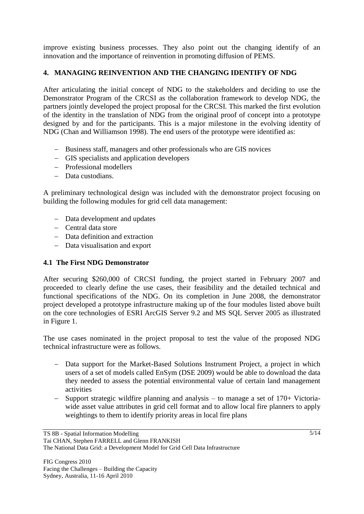improve existing business processes. They also point out the changing identify of an innovation and the importance of reinvention in promoting diffusion of PEMS.

## **4. MANAGING REINVENTION AND THE CHANGING IDENTIFY OF NDG**

After articulating the initial concept of NDG to the stakeholders and deciding to use the Demonstrator Program of the CRCSI as the collaboration framework to develop NDG, the partners jointly developed the project proposal for the CRCSI. This marked the first evolution of the identity in the translation of NDG from the original proof of concept into a prototype designed by and for the participants. This is a major milestone in the evolving identity of NDG (Chan and Williamson 1998). The end users of the prototype were identified as:

- Business staff, managers and other professionals who are GIS novices
- GIS specialists and application developers
- Professional modellers
- Data custodians.

A preliminary technological design was included with the demonstrator project focusing on building the following modules for grid cell data management:

- Data development and updates
- Central data store
- Data definition and extraction
- Data visualisation and export

### **4.1 The First NDG Demonstrator**

After securing \$260,000 of CRCSI funding, the project started in February 2007 and proceeded to clearly define the use cases, their feasibility and the detailed technical and functional specifications of the NDG. On its completion in June 2008, the demonstrator project developed a prototype infrastructure making up of the four modules listed above built on the core technologies of ESRI ArcGIS Server 9.2 and MS SQL Server 2005 as illustrated in Figure 1.

The use cases nominated in the project proposal to test the value of the proposed NDG technical infrastructure were as follows.

- Data support for the Market-Based Solutions Instrument Project, a project in which users of a set of models called EnSym (DSE 2009) would be able to download the data they needed to assess the potential environmental value of certain land management activities
- $-$  Support strategic wildfire planning and analysis to manage a set of 170+ Victoriawide asset value attributes in grid cell format and to allow local fire planners to apply weightings to them to identify priority areas in local fire plans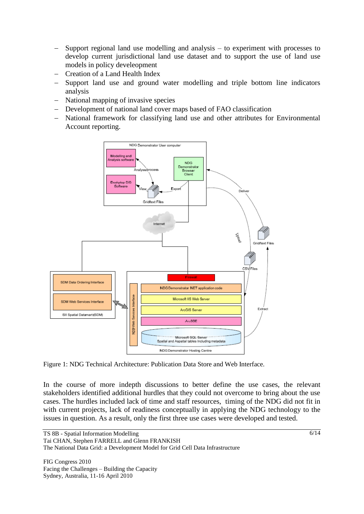- Support regional land use modelling and analysis to experiment with processes to develop current jurisdictional land use dataset and to support the use of land use models in policy develeopment
- Creation of a Land Health Index
- Support land use and ground water modelling and triple bottom line indicators analysis
- National mapping of invasive species
- Development of national land cover maps based of FAO classification
- National framework for classifying land use and other attributes for Environmental Account reporting.



Figure 1: NDG Technical Architecture: Publication Data Store and Web Interface.

In the course of more indepth discussions to better define the use cases, the relevant stakeholders identified additional hurdles that they could not overcome to bring about the use cases. The hurdles included lack of time and staff resources, timing of the NDG did not fit in with current projects, lack of readiness conceptually in applying the NDG technology to the issues in question. As a result, only the first three use cases were developed and tested.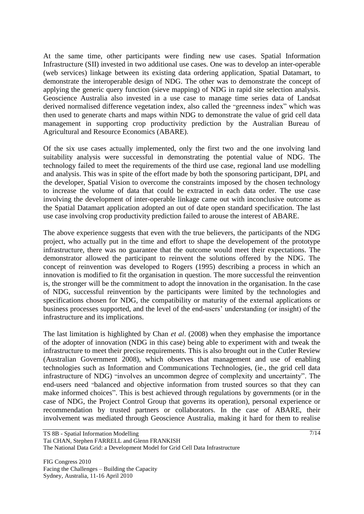At the same time, other participants were finding new use cases. Spatial Information Infrastructure (SII) invested in two additional use cases. One was to develop an inter-operable (web services) linkage between its existing data ordering application, Spatial Datamart, to demonstrate the interoperable design of NDG. The other was to demonstrate the concept of applying the generic query function (sieve mapping) of NDG in rapid site selection analysis. Geoscience Australia also invested in a use case to manage time series data of Landsat derived normalised difference vegetation index, also called the "greenness index" which was then used to generate charts and maps within NDG to demonstrate the value of grid cell data management in supporting crop productivity prediction by the Australian Bureau of Agricultural and Resource Economics (ABARE).

Of the six use cases actually implemented, only the first two and the one involving land suitability analysis were successful in demonstrating the potential value of NDG. The technology failed to meet the requirements of the third use case, regional land use modelling and analysis. This was in spite of the effort made by both the sponsoring participant, DPI, and the developer, Spatial Vision to overcome the constraints imposed by the chosen technology to increase the volume of data that could be extracted in each data order. The use case involving the development of inter-operable linkage came out with inconclusive outcome as the Spatial Datamart application adopted an out of date open standard specification. The last use case involving crop productivity prediction failed to arouse the interest of ABARE.

The above experience suggests that even with the true believers, the participants of the NDG project, who actually put in the time and effort to shape the developement of the prototype infrastructure, there was no guarantee that the outcome would meet their expectations. The demonstrator allowed the participant to reinvent the solutions offered by the NDG. The concept of reinvention was developed to Rogers (1995) describing a process in which an innovation is modified to fit the organisation in question. The more successful the reinvention is, the stronger will be the commitment to adopt the innovation in the organisation. In the case of NDG, successful reinvention by the participants were limited by the technologies and specifications chosen for NDG, the compatibility or maturity of the external applications or business processes supported, and the level of the end-users" understanding (or insight) of the infrastructure and its implications.

The last limitation is highlighted by Chan *et al*. (2008) when they emphasise the importance of the adopter of innovation (NDG in this case) being able to experiment with and tweak the infrastructure to meet their precise requirements. This is also brought out in the Cutler Review (Australian Government 2008), which observes that management and use of enabling technologies such as Information and Communications Technologies, (ie., the grid cell data infrastructure of NDG) "involves an uncommon degree of complexity and uncertainty". The end-users need "balanced and objective information from trusted sources so that they can make informed choices". This is best achieved through regulations by governments (or in the case of NDG, the Project Control Group that governs its operation), personal experience or recommendation by trusted partners or collaborators. In the case of ABARE, their involvement was mediated through Geoscience Australia, making it hard for them to realise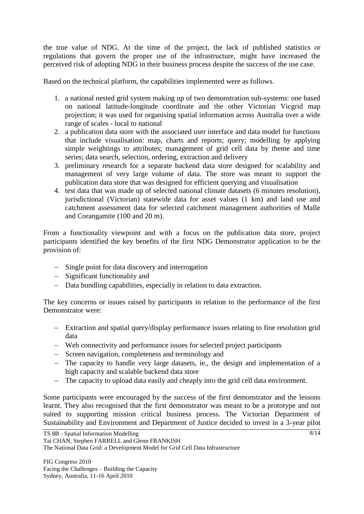the true value of NDG. At the time of the project, the lack of published statistics or regulations that govern the proper use of the infrastructure, might have increased the perceived risk of adopting NDG in their business process despite the success of the use case.

Based on the technical platform, the capabilities implemented were as follows.

- 1. a national nested grid system making up of two demonstration sub-systems: one based on national latitude-longitude coordinate and the other Victorian Vicgrid map projection; it was used for organising spatial information across Australia over a wide range of scales - local to national
- 2. a publication data store with the associated user interface and data model for functions that include visualisation: map, charts and reports; query; modelling by applying simple weightings to attributes; management of grid cell data by theme and time series; data search, selection, ordering, extraction and delivery
- 3. preliminary research for a separate backend data store designed for scalability and management of very large volume of data. The store was meant to support the publication data store that was designed for efficient querying and visualisation
- 4. test data that was made up of selected national climate datasets (6 minutes resolution), jurisdictional (Victorian) statewide data for asset values (1 km) and land use and catchment assessment data for selected catchment management authorities of Malle and Corangamite (100 and 20 m).

From a functionality viewpoint and with a focus on the publication data store, project participants identified the key benefits of the first NDG Demonstrator application to be the provision of:

- Single point for data discovery and interrogation
- Significant functionality and
- Data bundling capabilities, especially in relation to data extraction.

The key concerns or issues raised by participants in relation to the performance of the first Demonstrator were:

- Extraction and spatial query/display performance issues relating to fine resolution grid data
- Web connectivity and performance issues for selected project participants
- Screen navigation, completeness and terminology and
- The capacity to handle very large datasets, ie., the design and implementation of a high capacity and scalable backend data store
- The capacity to upload data easily and cheaply into the grid cell data environment.

Some participants were encouraged by the success of the first demonstrator and the lessons learnt. They also recognised that the first demonstrator was meant to be a prototype and not suited to supporting mission critical business process. The Victorian Department of Sustainability and Environment and Department of Justice decided to invest in a 3-year pilot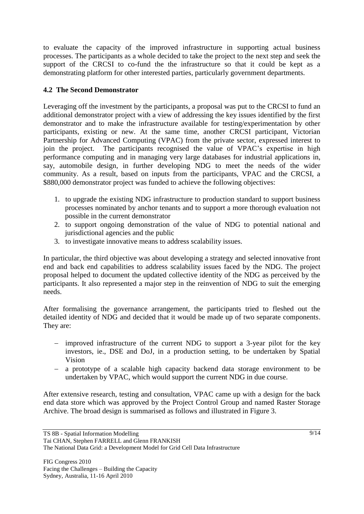to evaluate the capacity of the improved infrastructure in supporting actual business processes. The participants as a whole decided to take the project to the next step and seek the support of the CRCSI to co-fund the the infrastructure so that it could be kept as a demonstrating platform for other interested parties, particularly government departments.

### **4.2 The Second Demonstrator**

Leveraging off the investment by the participants, a proposal was put to the CRCSI to fund an additional demonstrator project with a view of addressing the key issues identified by the first demonstrator and to make the infrastructure available for testing/experimentation by other participants, existing or new. At the same time, another CRCSI participant, Victorian Partnership for Advanced Computing (VPAC) from the private sector, expressed interest to join the project. The participants recognised the value of VPAC"s expertise in high performance computing and in managing very large databases for industrial applications in, say, automobile design, in further developing NDG to meet the needs of the wider community. As a result, based on inputs from the participants, VPAC and the CRCSI, a \$880,000 demonstrator project was funded to achieve the following objectives:

- 1. to upgrade the existing NDG infrastructure to production standard to support business processes nominated by anchor tenants and to support a more thorough evaluation not possible in the current demonstrator
- 2. to support ongoing demonstration of the value of NDG to potential national and jurisdictional agencies and the public
- 3. to investigate innovative means to address scalability issues.

In particular, the third objective was about developing a strategy and selected innovative front end and back end capabilities to address scalability issues faced by the NDG. The project proposal helped to document the updated collective identity of the NDG as perceived by the participants. It also represented a major step in the reinvention of NDG to suit the emerging needs.

After formalising the governance arrangement, the participants tried to fleshed out the detailed identity of NDG and decided that it would be made up of two separate components. They are:

- improved infrastructure of the current NDG to support a 3-year pilot for the key investors, ie., DSE and DoJ, in a production setting, to be undertaken by Spatial Vision
- a prototype of a scalable high capacity backend data storage environment to be undertaken by VPAC, which would support the current NDG in due course.

After extensive research, testing and consultation, VPAC came up with a design for the back end data store which was approved by the Project Control Group and named Raster Storage Archive. The broad design is summarised as follows and illustrated in Figure 3.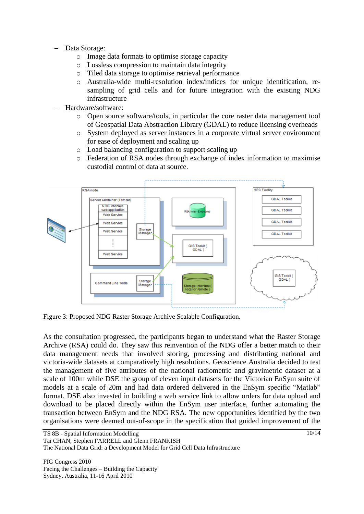- Data Storage:
	- o Image data formats to optimise storage capacity
	- o Lossless compression to maintain data integrity
	- o Tiled data storage to optimise retrieval performance
	- o Australia-wide multi-resolution index/indices for unique identification, resampling of grid cells and for future integration with the existing NDG infrastructure
- Hardware/software:
	- o Open source software/tools, in particular the core raster data management tool of Geospatial Data Abstraction Library (GDAL) to reduce licensing overheads
	- o System deployed as server instances in a corporate virtual server environment for ease of deployment and scaling up
	- o Load balancing configuration to support scaling up
	- o Federation of RSA nodes through exchange of index information to maximise custodial control of data at source.



Figure 3: Proposed NDG Raster Storage Archive Scalable Configuration.

As the consultation progressed, the participants began to understand what the Raster Storage Archive (RSA) could do. They saw this reinvention of the NDG offer a better match to their data management needs that involved storing, processing and distributing national and victoria-wide datasets at comparatively high resolutions. Geoscience Australia decided to test the management of five attributes of the national radiometric and gravimetric dataset at a scale of 100m while DSE the group of eleven input datasets for the Victorian EnSym suite of models at a scale of 20m and had data ordered delivered in the EnSym specific "Matlab" format. DSE also invested in building a web service link to allow orders for data upload and download to be placed directly within the EnSym user interface, further automating the transaction between EnSym and the NDG RSA. The new opportunities identified by the two organisations were deemed out-of-scope in the specification that guided improvement of the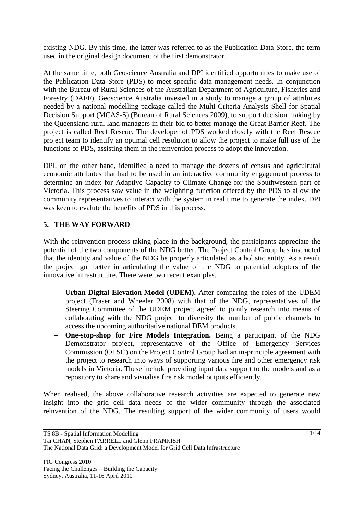existing NDG. By this time, the latter was referred to as the Publication Data Store, the term used in the original design document of the first demonstrator.

At the same time, both Geoscience Australia and DPI identified opportunities to make use of the Publication Data Store (PDS) to meet specific data management needs. In conjunction with the Bureau of Rural Sciences of the Australian Department of Agriculture, Fisheries and Forestry (DAFF), Geoscience Australia invested in a study to manage a group of attributes needed by a national modelling package called the Multi-Criteria Analysis Shell for Spatial Decision Support (MCAS-S) (Bureau of Rural Sciences 2009), to support decision making by the Queensland rural land managers in their bid to better manage the Great Barrier Reef. The project is called Reef Rescue. The developer of PDS worked closely with the Reef Rescue project team to identify an optimal cell resoluton to allow the project to make full use of the functions of PDS, assisting them in the reinvention process to adopt the innovation.

DPI, on the other hand, identified a need to manage the dozens of census and agricultural economic attributes that had to be used in an interactive community engagement process to determine an index for Adaptive Capacity to Climate Change for the Southwestern part of Victoria. This process saw value in the weighting function offered by the PDS to allow the community representatives to interact with the system in real time to generate the index. DPI was keen to evalute the benefits of PDS in this process.

### **5. THE WAY FORWARD**

With the reinvention process taking place in the background, the participants appreciate the potential of the two components of the NDG better. The Project Control Group has instructed that the identity and value of the NDG be properly articulated as a holistic entity. As a result the project got better in articulating the value of the NDG to potential adopters of the innovative infrastructure. There were two recent examples.

- **Urban Digital Elevation Model (UDEM).** After comparing the roles of the UDEM project (Fraser and Wheeler 2008) with that of the NDG, representatives of the Steering Committee of the UDEM project agreed to jointly research into means of collaborating with the NDG project to diversity the number of public channels to access the upcoming authoritative national DEM products.
- **One-stop-shop for Fire Models Integration.** Being a participant of the NDG Demonstrator project, representative of the Office of Emergency Services Commission (OESC) on the Project Control Group had an in-principle agreement with the project to research into ways of supporting various fire and other emergency risk models in Victoria. These include providing input data support to the models and as a repository to share and visualise fire risk model outputs efficiently.

When realised, the above collaborative research activities are expected to generate new insight into the grid cell data needs of the wider community through the associated reinvention of the NDG. The resulting support of the wider community of users would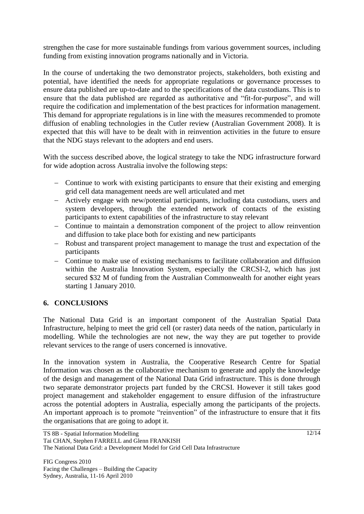strengthen the case for more sustainable fundings from various government sources, including funding from existing innovation programs nationally and in Victoria.

In the course of undertaking the two demonstrator projects, stakeholders, both existing and potential, have identified the needs for appropriate regulations or governance processes to ensure data published are up-to-date and to the specifications of the data custodians. This is to ensure that the data published are regarded as authoritative and "fit-for-purpose", and will require the codification and implementation of the best practices for information management. This demand for appropriate regulations is in line with the measures recommended to promote diffusion of enabling technologies in the Cutler review (Australian Government 2008). It is expected that this will have to be dealt with in reinvention activities in the future to ensure that the NDG stays relevant to the adopters and end users.

With the success described above, the logical strategy to take the NDG infrastructure forward for wide adoption across Australia involve the following steps:

- Continue to work with existing participants to ensure that their existing and emerging grid cell data management needs are well articulated and met
- Actively engage with new/potential participants, including data custodians, users and system developers, through the extended network of contacts of the existing participants to extent capabilities of the infrastructure to stay relevant
- Continue to maintain a demonstration component of the project to allow reinvention and diffusion to take place both for existing and new participants
- Robust and transparent project management to manage the trust and expectation of the participants
- Continue to make use of existing mechanisms to facilitate collaboration and diffusion within the Australia Innovation System, especially the CRCSI-2, which has just secured \$32 M of funding from the Australian Commonwealth for another eight years starting 1 January 2010.

### **6. CONCLUSIONS**

The National Data Grid is an important component of the Australian Spatial Data Infrastructure, helping to meet the grid cell (or raster) data needs of the nation, particularly in modelling. While the technologies are not new, the way they are put together to provide relevant services to the range of users concerned is innovative.

In the innovation system in Australia, the Cooperative Research Centre for Spatial Information was chosen as the collaborative mechanism to generate and apply the knowledge of the design and management of the National Data Grid infrastructure. This is done through two separate demonstrator projects part funded by the CRCSI. However it still takes good project management and stakeholder engagement to ensure diffusion of the infrastructure across the potential adopters in Australia, especially among the participants of the projects. An important approach is to promote "reinvention" of the infrastructure to ensure that it fits the organisations that are going to adopt it.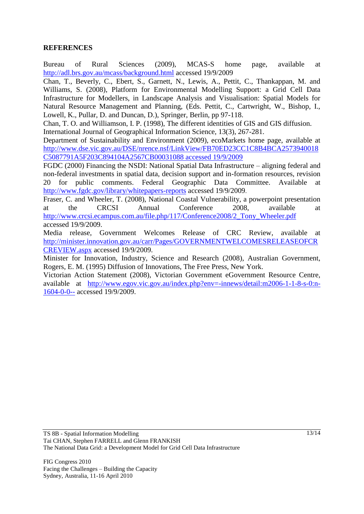### **REFERENCES**

Bureau of Rural Sciences (2009), MCAS-S home page, available at <http://adl.brs.gov.au/mcass/background.html> accessed 19/9/2009

Chan, T., Beverly, C., Ebert, S., Garnett, N., Lewis, A., Pettit, C., Thankappan, M. and Williams, S. (2008), Platform for Environmental Modelling Support: a Grid Cell Data Infrastructure for Modellers, in Landscape Analysis and Visualisation: Spatial Models for Natural Resource Management and Planning, (Eds. Pettit, C., Cartwright, W., Bishop, I., Lowell, K., Pullar, D. and Duncan, D.), Springer, Berlin, pp 97-118.

Chan, T. O. and Williamson, I. P. (1998), The different identities of GIS and GIS diffusion. International Journal of Geographical Information Science, 13(3), 267-281.

Department of Sustainability and Environment (2009), ecoMarkets home page, available at [http://www.dse.vic.gov.au/DSE/nrence.nsf/LinkView/FB70ED23CC1C8B4BCA2573940018](http://www.dse.vic.gov.au/DSE/nrence.nsf/LinkView/FB70ED23CC1C8B4BCA2573940018C5087791A5F203C894104A2567CB00031088%20accessed%2019/9/2009) [C5087791A5F203C894104A2567CB00031088 accessed 19/9/2009](http://www.dse.vic.gov.au/DSE/nrence.nsf/LinkView/FB70ED23CC1C8B4BCA2573940018C5087791A5F203C894104A2567CB00031088%20accessed%2019/9/2009)

FGDC (2000) Financing the NSDI: National Spatial Data Infrastructure – aligning federal and non-federal investments in spatial data, decision support and in-formation resources, revision 20 for public comments. Federal Geographic Data Committee. Available at <http://www.fgdc.gov/library/whitepapers-reports> accessed 19/9/2009.

Fraser, C. and Wheeler, T. (2008), National Coastal Vulnerability, a powerpoint presentation at the CRCSI Annual Conference 2008, available at [http://www.crcsi.ecampus.com.au/file.php/117/Conference2008/2\\_Tony\\_Wheeler.pdf](http://www.crcsi.ecampus.com.au/file.php/117/Conference2008/2_Tony_Wheeler.pdf) accessed 19/9/2009.

Media release, Government Welcomes Release of CRC Review, available at [http://minister.innovation.gov.au/carr/Pages/GOVERNMENTWELCOMESRELEASEOFCR](http://minister.innovation.gov.au/carr/Pages/GOVERNMENTWELCOMESRELEASEOFCRCREVIEW.aspx) [CREVIEW.aspx](http://minister.innovation.gov.au/carr/Pages/GOVERNMENTWELCOMESRELEASEOFCRCREVIEW.aspx) accessed 19/9/2009.

Minister for Innovation, Industry, Science and Research (2008), Australian Government, Rogers, E. M. (1995) Diffusion of Innovations, The Free Press, New York.

Victorian Action Statement (2008), Victorian Government [eGovernment Resource Centre,](http://www.egov.vic.gov.au/) available at [http://www.egov.vic.gov.au/index.php?env=-innews/detail:m2006-1-1-8-s-0:n-](http://www.egov.vic.gov.au/index.php?env=-innews/detail:m2006-1-1-8-s-0:n-1604-0-0--)[1604-0-0--](http://www.egov.vic.gov.au/index.php?env=-innews/detail:m2006-1-1-8-s-0:n-1604-0-0--) accessed 19/9/2009.